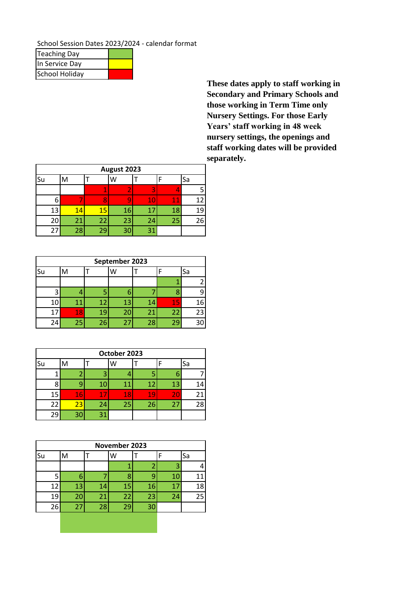School Session Dates 2023/2024 - calendar format

| <b>Teaching Day</b>   |  |
|-----------------------|--|
| In Service Day        |  |
| <b>School Holiday</b> |  |

**These dates apply to staff working in Secondary and Primary Schools and those working in Term Time only Nursery Settings. For those Early Years' staff working in 48 week nursery settings, the openings and staff working dates will be provided separately.** 

|                    | August 2023 |    |    |    |        |    |  |  |  |
|--------------------|-------------|----|----|----|--------|----|--|--|--|
| Su<br>Sa<br>M<br>W |             |    |    |    |        |    |  |  |  |
|                    |             | 4  |    | 3  |        |    |  |  |  |
| 6                  |             |    |    | 10 | $11\,$ | 12 |  |  |  |
| 13                 | 14          | 15 | 16 | 17 | 18     | 19 |  |  |  |
| 20                 | 21          | 22 | 23 | 24 | 25     | 26 |  |  |  |
| 27                 | 28          | 29 | 30 | 31 |        |    |  |  |  |

|    | September 2023 |    |    |    |    |    |  |  |  |
|----|----------------|----|----|----|----|----|--|--|--|
| Su | M              |    | W  |    |    | Sa |  |  |  |
|    |                |    |    |    |    | 2  |  |  |  |
|    |                |    |    |    |    | ٩  |  |  |  |
| 10 | 11             | 12 | 13 | 14 | 15 | 16 |  |  |  |
| 17 | 18             | 19 | 20 | 21 | 22 | 23 |  |  |  |
| 24 | 25             | 26 | 27 | 28 | 29 | 30 |  |  |  |

| October 2023 |    |    |    |    |    |    |  |  |
|--------------|----|----|----|----|----|----|--|--|
| <b>Su</b>    | M  |    | W  |    |    | Sa |  |  |
|              |    | 3  |    |    |    |    |  |  |
|              |    | 10 |    | 12 | 13 | 14 |  |  |
| 15           | 16 | 17 | 47 | 19 | 20 | 21 |  |  |
| 22           | 23 | 24 | 25 | 26 | 27 | 28 |  |  |
| 29           | 30 | 31 |    |    |    |    |  |  |

|    | November 2023 |    |    |    |    |    |  |  |  |
|----|---------------|----|----|----|----|----|--|--|--|
| Su | M             |    | W  |    |    | Sa |  |  |  |
|    |               |    |    | 2  | 3  | 4  |  |  |  |
|    | 6             |    |    | q  | 10 | 11 |  |  |  |
| 12 | 13            | 14 | 15 | 16 | 47 | 18 |  |  |  |
| 19 | 20            | 21 | 22 | 23 | 24 | 25 |  |  |  |
| 26 | 27            | 28 | 29 | 30 |    |    |  |  |  |
|    |               |    |    |    |    |    |  |  |  |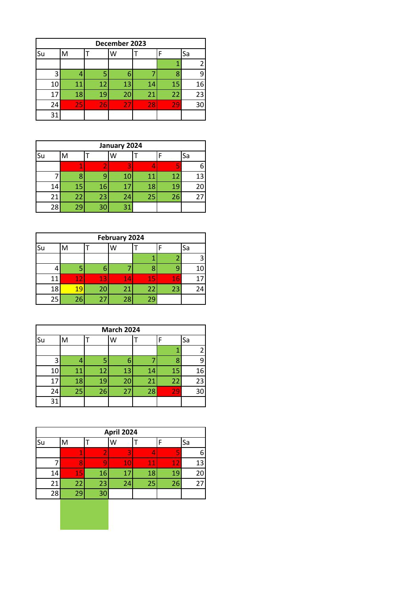| December 2023 |    |    |    |    |    |    |  |  |
|---------------|----|----|----|----|----|----|--|--|
| Su            | M  |    | W  |    |    | Sa |  |  |
|               |    |    |    |    |    |    |  |  |
|               |    |    |    |    | 8  |    |  |  |
| 10            | 11 | 12 | 13 | 14 | 15 | 16 |  |  |
| 17            | 18 | 19 | 20 | 21 | 22 | 23 |  |  |
| 24            | 25 | 26 | 27 | 28 | 29 | 30 |  |  |
| 31            |    |    |    |    |    |    |  |  |

|               | January 2024 |    |    |    |    |    |    |  |  |
|---------------|--------------|----|----|----|----|----|----|--|--|
| Sa<br>Su<br>M |              |    |    |    |    |    |    |  |  |
|               |              |    |    | 3  |    |    |    |  |  |
|               |              |    |    | 10 | 11 | 12 | 13 |  |  |
| 14            |              | 15 | 16 | 17 | 18 | 19 | 20 |  |  |
| 21            |              | 22 | 23 | 24 | 25 | 26 | 27 |  |  |
| 28            |              | 29 | 30 | 31 |    |    |    |  |  |

|               | February 2024 |    |    |    |    |    |  |  |  |
|---------------|---------------|----|----|----|----|----|--|--|--|
| Su<br>Sa<br>W |               |    |    |    |    |    |  |  |  |
|               |               |    |    |    |    |    |  |  |  |
|               | 5             |    |    |    |    | 10 |  |  |  |
| 11            | $\bf 12$      | 13 | 14 | 15 | 16 | 17 |  |  |  |
| 18            | 19            | 20 | 21 | 22 | 23 | 24 |  |  |  |
| 25            | 26            | 27 | 28 | 29 |    |    |  |  |  |

| <b>March 2024</b>  |   |    |    |    |    |    |    |  |  |
|--------------------|---|----|----|----|----|----|----|--|--|
| Su<br>Sa<br>M<br>w |   |    |    |    |    |    |    |  |  |
|                    |   |    |    |    |    |    |    |  |  |
|                    | 3 |    | 5  | 6  |    |    | q  |  |  |
| 10                 |   | 11 | 12 | 13 | 14 | 15 | 16 |  |  |
| 17                 |   | 18 | 19 | 20 | 21 | 22 | 23 |  |  |
| 24                 |   | 25 | 26 | 27 | 28 | 29 | 30 |  |  |
| 31                 |   |    |    |    |    |    |    |  |  |

|    | <b>April 2024</b> |    |    |    |    |    |  |  |  |
|----|-------------------|----|----|----|----|----|--|--|--|
| Su | м                 |    | W  |    |    | Sa |  |  |  |
|    | 4                 |    |    |    | 5  |    |  |  |  |
|    |                   |    | 10 | 11 | 12 | 13 |  |  |  |
| 14 | 15                | 16 | 1  | 18 | 19 | 20 |  |  |  |
| 21 | 22                | 23 | 24 | 25 | 26 | 27 |  |  |  |
| 28 | 29                | 30 |    |    |    |    |  |  |  |